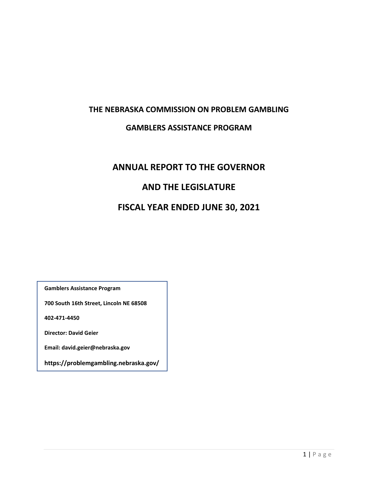# **THE NEBRASKA COMMISSION ON PROBLEM GAMBLING**

# **GAMBLERS ASSISTANCE PROGRAM**

# **ANNUAL REPORT TO THE GOVERNOR AND THE LEGISLATURE FISCAL YEAR ENDED JUNE 30, 2021**

**Gamblers Assistance Program**

**700 South 16th Street, Lincoln NE 68508**

**402-471-4450**

**Director: David Geier**

**Email: david.geier@nebraska.gov**

**https://problemgambling.nebraska.gov/**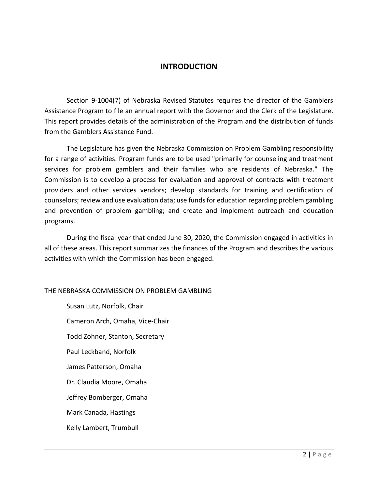### **INTRODUCTION**

Section 9-1004(7) of Nebraska Revised Statutes requires the director of the Gamblers Assistance Program to file an annual report with the Governor and the Clerk of the Legislature. This report provides details of the administration of the Program and the distribution of funds from the Gamblers Assistance Fund.

The Legislature has given the Nebraska Commission on Problem Gambling responsibility for a range of activities. Program funds are to be used "primarily for counseling and treatment services for problem gamblers and their families who are residents of Nebraska." The Commission is to develop a process for evaluation and approval of contracts with treatment providers and other services vendors; develop standards for training and certification of counselors; review and use evaluation data; use funds for education regarding problem gambling and prevention of problem gambling; and create and implement outreach and education programs.

During the fiscal year that ended June 30, 2020, the Commission engaged in activities in all of these areas. This report summarizes the finances of the Program and describes the various activities with which the Commission has been engaged.

#### THE NEBRASKA COMMISSION ON PROBLEM GAMBLING

Susan Lutz, Norfolk, Chair Cameron Arch, Omaha, Vice-Chair Todd Zohner, Stanton, Secretary Paul Leckband, Norfolk James Patterson, Omaha Dr. Claudia Moore, Omaha Jeffrey Bomberger, Omaha Mark Canada, Hastings Kelly Lambert, Trumbull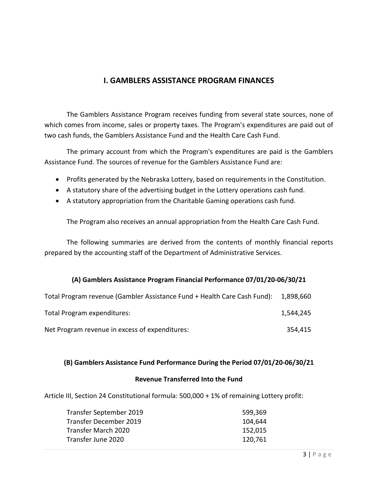# **I. GAMBLERS ASSISTANCE PROGRAM FINANCES**

The Gamblers Assistance Program receives funding from several state sources, none of which comes from income, sales or property taxes. The Program's expenditures are paid out of two cash funds, the Gamblers Assistance Fund and the Health Care Cash Fund.

The primary account from which the Program's expenditures are paid is the Gamblers Assistance Fund. The sources of revenue for the Gamblers Assistance Fund are:

- Profits generated by the Nebraska Lottery, based on requirements in the Constitution.
- A statutory share of the advertising budget in the Lottery operations cash fund.
- A statutory appropriation from the Charitable Gaming operations cash fund.

The Program also receives an annual appropriation from the Health Care Cash Fund.

The following summaries are derived from the contents of monthly financial reports prepared by the accounting staff of the Department of Administrative Services.

#### **(A) Gamblers Assistance Program Financial Performance 07/01/20-06/30/21**

| Total Program revenue (Gambler Assistance Fund + Health Care Cash Fund): 1,898,660 |           |
|------------------------------------------------------------------------------------|-----------|
| Total Program expenditures:                                                        | 1,544,245 |
| Net Program revenue in excess of expenditures:                                     | 354.415   |

#### **(B) Gamblers Assistance Fund Performance During the Period 07/01/20-06/30/21**

#### **Revenue Transferred Into the Fund**

Article III, Section 24 Constitutional formula: 500,000 + 1% of remaining Lottery profit:

| Transfer September 2019 | 599,369 |
|-------------------------|---------|
| Transfer December 2019  | 104,644 |
| Transfer March 2020     | 152,015 |
| Transfer June 2020      | 120,761 |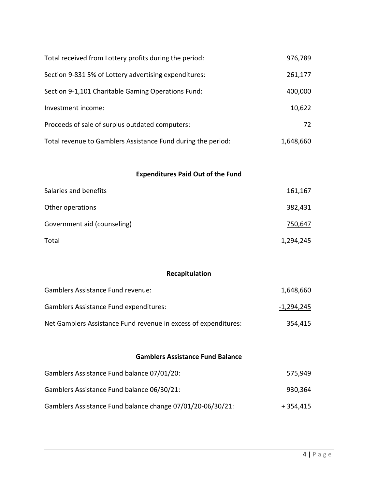| Total received from Lottery profits during the period:       | 976,789   |
|--------------------------------------------------------------|-----------|
| Section 9-831 5% of Lottery advertising expenditures:        | 261,177   |
| Section 9-1,101 Charitable Gaming Operations Fund:           | 400,000   |
| Investment income:                                           | 10,622    |
| Proceeds of sale of surplus outdated computers:              | 72        |
| Total revenue to Gamblers Assistance Fund during the period: | 1,648,660 |

# **Expenditures Paid Out of the Fund**

| Salaries and benefits       | 161,167   |
|-----------------------------|-----------|
| Other operations            | 382,431   |
| Government aid (counseling) | 750,647   |
| Total                       | 1,294,245 |

# **Recapitulation**

| Gamblers Assistance Fund revenue:                               | 1.648.660  |
|-----------------------------------------------------------------|------------|
| <b>Gamblers Assistance Fund expenditures:</b>                   | -1,294,245 |
| Net Gamblers Assistance Fund revenue in excess of expenditures: | 354.415    |

## **Gamblers Assistance Fund Balance**

| Gamblers Assistance Fund balance 07/01/20:                 | 575.949   |
|------------------------------------------------------------|-----------|
| Gamblers Assistance Fund balance 06/30/21:                 | 930.364   |
| Gamblers Assistance Fund balance change 07/01/20-06/30/21: | + 354.415 |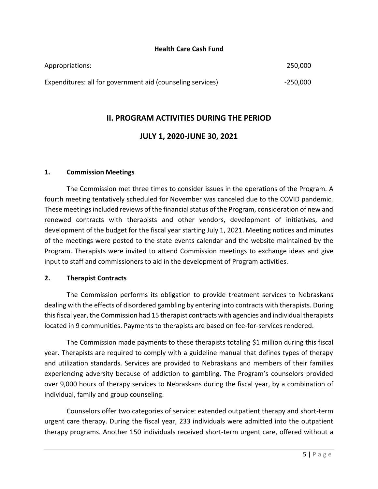#### **Health Care Cash Fund**

| Appropriations:                                            | 250,000  |
|------------------------------------------------------------|----------|
| Expenditures: all for government aid (counseling services) | -250,000 |

# **II. PROGRAM ACTIVITIES DURING THE PERIOD**

# **JULY 1, 2020-JUNE 30, 2021**

#### **1. Commission Meetings**

The Commission met three times to consider issues in the operations of the Program. A fourth meeting tentatively scheduled for November was canceled due to the COVID pandemic. These meetings included reviews of the financial status of the Program, consideration of new and renewed contracts with therapists and other vendors, development of initiatives, and development of the budget for the fiscal year starting July 1, 2021. Meeting notices and minutes of the meetings were posted to the state events calendar and the website maintained by the Program. Therapists were invited to attend Commission meetings to exchange ideas and give input to staff and commissioners to aid in the development of Program activities.

#### **2. Therapist Contracts**

The Commission performs its obligation to provide treatment services to Nebraskans dealing with the effects of disordered gambling by entering into contracts with therapists. During this fiscal year, the Commission had 15 therapist contracts with agencies and individual therapists located in 9 communities. Payments to therapists are based on fee-for-services rendered.

The Commission made payments to these therapists totaling \$1 million during this fiscal year. Therapists are required to comply with a guideline manual that defines types of therapy and utilization standards. Services are provided to Nebraskans and members of their families experiencing adversity because of addiction to gambling. The Program's counselors provided over 9,000 hours of therapy services to Nebraskans during the fiscal year, by a combination of individual, family and group counseling.

Counselors offer two categories of service: extended outpatient therapy and short-term urgent care therapy. During the fiscal year, 233 individuals were admitted into the outpatient therapy programs. Another 150 individuals received short-term urgent care, offered without a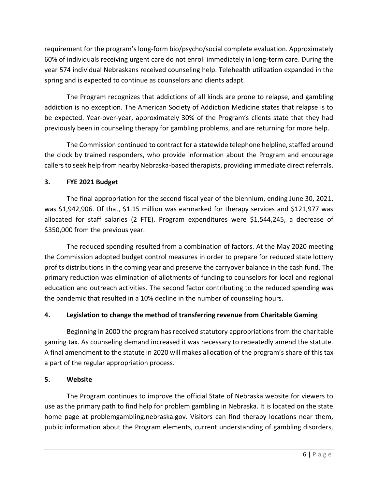requirement for the program's long-form bio/psycho/social complete evaluation. Approximately 60% of individuals receiving urgent care do not enroll immediately in long-term care. During the year 574 individual Nebraskans received counseling help. Telehealth utilization expanded in the spring and is expected to continue as counselors and clients adapt.

The Program recognizes that addictions of all kinds are prone to relapse, and gambling addiction is no exception. The American Society of Addiction Medicine states that relapse is to be expected. Year-over-year, approximately 30% of the Program's clients state that they had previously been in counseling therapy for gambling problems, and are returning for more help.

The Commission continued to contract for a statewide telephone helpline, staffed around the clock by trained responders, who provide information about the Program and encourage callers to seek help from nearby Nebraska-based therapists, providing immediate direct referrals.

# **3. FYE 2021 Budget**

The final appropriation for the second fiscal year of the biennium, ending June 30, 2021, was \$1,942,906. Of that, \$1.15 million was earmarked for therapy services and \$121,977 was allocated for staff salaries (2 FTE). Program expenditures were \$1,544,245, a decrease of \$350,000 from the previous year.

The reduced spending resulted from a combination of factors. At the May 2020 meeting the Commission adopted budget control measures in order to prepare for reduced state lottery profits distributions in the coming year and preserve the carryover balance in the cash fund. The primary reduction was elimination of allotments of funding to counselors for local and regional education and outreach activities. The second factor contributing to the reduced spending was the pandemic that resulted in a 10% decline in the number of counseling hours.

# **4. Legislation to change the method of transferring revenue from Charitable Gaming**

Beginning in 2000 the program has received statutory appropriations from the charitable gaming tax. As counseling demand increased it was necessary to repeatedly amend the statute. A final amendment to the statute in 2020 will makes allocation of the program's share of this tax a part of the regular appropriation process.

## **5. Website**

The Program continues to improve the official State of Nebraska website for viewers to use as the primary path to find help for problem gambling in Nebraska. It is located on the state home page at problemgambling.nebraska.gov. Visitors can find therapy locations near them, public information about the Program elements, current understanding of gambling disorders,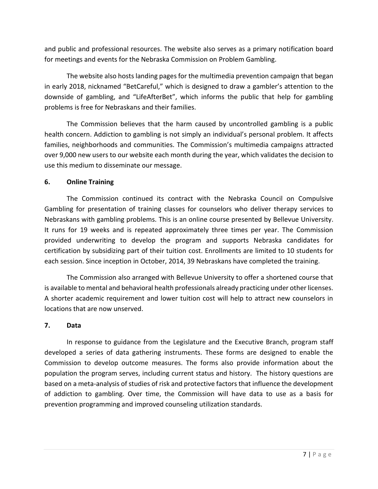and public and professional resources. The website also serves as a primary notification board for meetings and events for the Nebraska Commission on Problem Gambling.

The website also hosts landing pages for the multimedia prevention campaign that began in early 2018, nicknamed "BetCareful," which is designed to draw a gambler's attention to the downside of gambling, and "LifeAfterBet", which informs the public that help for gambling problems is free for Nebraskans and their families.

The Commission believes that the harm caused by uncontrolled gambling is a public health concern. Addiction to gambling is not simply an individual's personal problem. It affects families, neighborhoods and communities. The Commission's multimedia campaigns attracted over 9,000 new users to our website each month during the year, which validates the decision to use this medium to disseminate our message.

## **6. Online Training**

The Commission continued its contract with the Nebraska Council on Compulsive Gambling for presentation of training classes for counselors who deliver therapy services to Nebraskans with gambling problems. This is an online course presented by Bellevue University. It runs for 19 weeks and is repeated approximately three times per year. The Commission provided underwriting to develop the program and supports Nebraska candidates for certification by subsidizing part of their tuition cost. Enrollments are limited to 10 students for each session. Since inception in October, 2014, 39 Nebraskans have completed the training.

The Commission also arranged with Bellevue University to offer a shortened course that is available to mental and behavioral health professionals already practicing under other licenses. A shorter academic requirement and lower tuition cost will help to attract new counselors in locations that are now unserved.

## **7. Data**

In response to guidance from the Legislature and the Executive Branch, program staff developed a series of data gathering instruments. These forms are designed to enable the Commission to develop outcome measures. The forms also provide information about the population the program serves, including current status and history. The history questions are based on a meta-analysis of studies of risk and protective factors that influence the development of addiction to gambling. Over time, the Commission will have data to use as a basis for prevention programming and improved counseling utilization standards.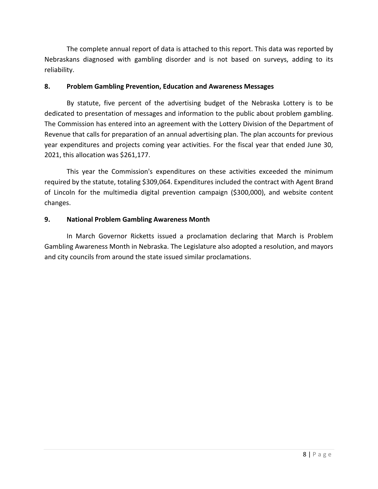The complete annual report of data is attached to this report. This data was reported by Nebraskans diagnosed with gambling disorder and is not based on surveys, adding to its reliability.

## **8. Problem Gambling Prevention, Education and Awareness Messages**

By statute, five percent of the advertising budget of the Nebraska Lottery is to be dedicated to presentation of messages and information to the public about problem gambling. The Commission has entered into an agreement with the Lottery Division of the Department of Revenue that calls for preparation of an annual advertising plan. The plan accounts for previous year expenditures and projects coming year activities. For the fiscal year that ended June 30, 2021, this allocation was \$261,177.

This year the Commission's expenditures on these activities exceeded the minimum required by the statute, totaling \$309,064. Expenditures included the contract with Agent Brand of Lincoln for the multimedia digital prevention campaign (\$300,000), and website content changes.

# **9. National Problem Gambling Awareness Month**

In March Governor Ricketts issued a proclamation declaring that March is Problem Gambling Awareness Month in Nebraska. The Legislature also adopted a resolution, and mayors and city councils from around the state issued similar proclamations.